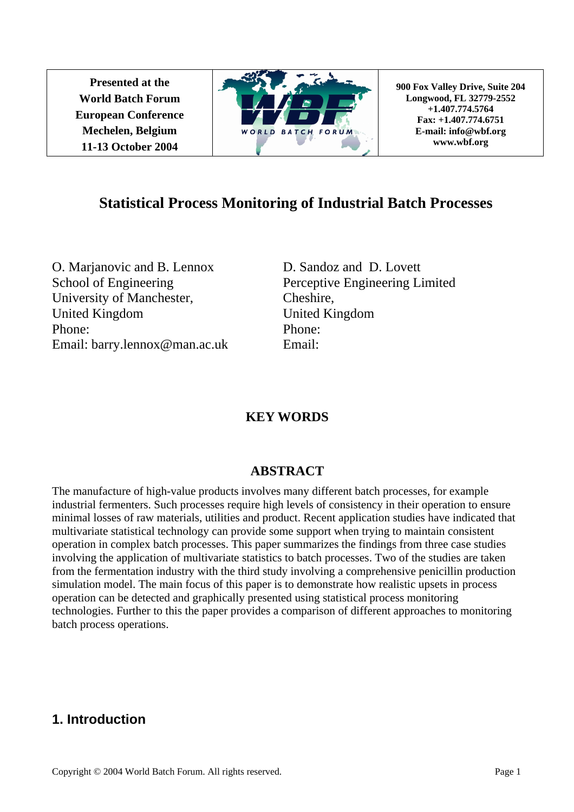**Presented at the World Batch Forum European Conference Mechelen, Belgium 11-13 October 2004** 



**900 Fox Valley Drive, Suite 204 Longwood, FL 32779-2552 +1.407.774.5764 Fax: +1.407.774.6751 E-mail: info@wbf.org www.wbf.org** 

# **Statistical Process Monitoring of Industrial Batch Processes**

O. Marjanovic and B. Lennox School of Engineering University of Manchester, United Kingdom Phone: Email: barry.lennox@man.ac.uk

D. Sandoz and D. Lovett Perceptive Engineering Limited Cheshire, United Kingdom Phone: Email:

# **KEY WORDS**

# **ABSTRACT**

The manufacture of high-value products involves many different batch processes, for example industrial fermenters. Such processes require high levels of consistency in their operation to ensure minimal losses of raw materials, utilities and product. Recent application studies have indicated that multivariate statistical technology can provide some support when trying to maintain consistent operation in complex batch processes. This paper summarizes the findings from three case studies involving the application of multivariate statistics to batch processes. Two of the studies are taken from the fermentation industry with the third study involving a comprehensive penicillin production simulation model. The main focus of this paper is to demonstrate how realistic upsets in process operation can be detected and graphically presented using statistical process monitoring technologies. Further to this the paper provides a comparison of different approaches to monitoring batch process operations.

# **1. Introduction**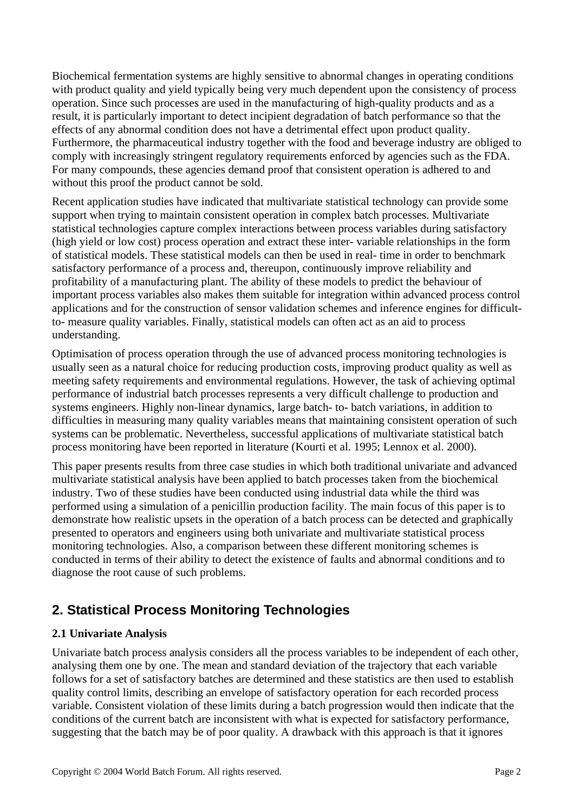Biochemical fermentation systems are highly sensitive to abnormal changes in operating conditions with product quality and yield typically being very much dependent upon the consistency of process operation. Since such processes are used in the manufacturing of high-quality products and as a result, it is particularly important to detect incipient degradation of batch performance so that the effects of any abnormal condition does not have a detrimental effect upon product quality. Furthermore, the pharmaceutical industry together with the food and beverage industry are obliged to comply with increasingly stringent regulatory requirements enforced by agencies such as the FDA. For many compounds, these agencies demand proof that consistent operation is adhered to and without this proof the product cannot be sold.

Recent application studies have indicated that multivariate statistical technology can provide some support when trying to maintain consistent operation in complex batch processes. Multivariate statistical technologies capture complex interactions between process variables during satisfactory (high yield or low cost) process operation and extract these inter- variable relationships in the form of statistical models. These statistical models can then be used in real- time in order to benchmark satisfactory performance of a process and, thereupon, continuously improve reliability and profitability of a manufacturing plant. The ability of these models to predict the behaviour of important process variables also makes them suitable for integration within advanced process control applications and for the construction of sensor validation schemes and inference engines for difficultto- measure quality variables. Finally, statistical models can often act as an aid to process understanding.

Optimisation of process operation through the use of advanced process monitoring technologies is usually seen as a natural choice for reducing production costs, improving product quality as well as meeting safety requirements and environmental regulations. However, the task of achieving optimal performance of industrial batch processes represents a very difficult challenge to production and systems engineers. Highly non-linear dynamics, large batch- to- batch variations, in addition to difficulties in measuring many quality variables means that maintaining consistent operation of such systems can be problematic. Nevertheless, successful applications of multivariate statistical batch process monitoring have been reported in literature (Kourti et al. 1995; Lennox et al. 2000).

This paper presents results from three case studies in which both traditional univariate and advanced multivariate statistical analysis have been applied to batch processes taken from the biochemical industry. Two of these studies have been conducted using industrial data while the third was performed using a simulation of a penicillin production facility. The main focus of this paper is to demonstrate how realistic upsets in the operation of a batch process can be detected and graphically presented to operators and engineers using both univariate and multivariate statistical process monitoring technologies. Also, a comparison between these different monitoring schemes is conducted in terms of their ability to detect the existence of faults and abnormal conditions and to diagnose the root cause of such problems.

# **2. Statistical Process Monitoring Technologies**

### **2.1 Univariate Analysis**

Univariate batch process analysis considers all the process variables to be independent of each other, analysing them one by one. The mean and standard deviation of the trajectory that each variable follows for a set of satisfactory batches are determined and these statistics are then used to establish quality control limits, describing an envelope of satisfactory operation for each recorded process variable. Consistent violation of these limits during a batch progression would then indicate that the conditions of the current batch are inconsistent with what is expected for satisfactory performance, suggesting that the batch may be of poor quality. A drawback with this approach is that it ignores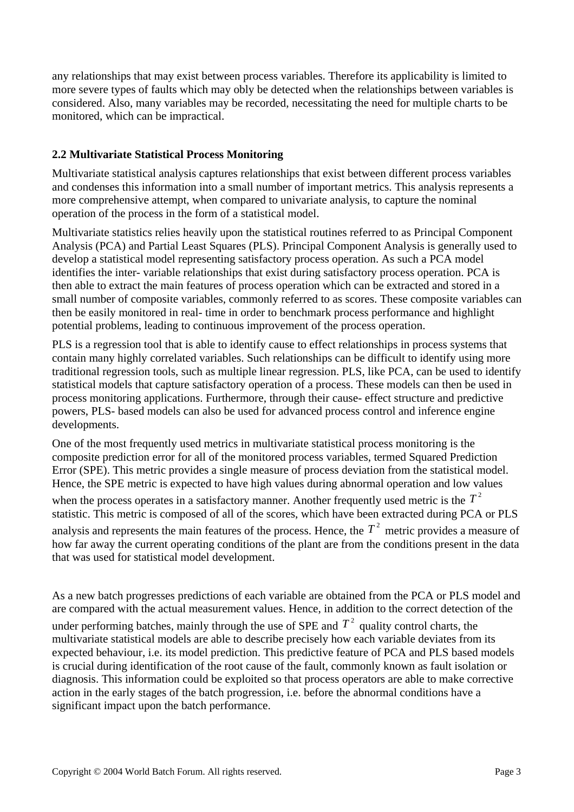any relationships that may exist between process variables. Therefore its applicability is limited to more severe types of faults which may obly be detected when the relationships between variables is considered. Also, many variables may be recorded, necessitating the need for multiple charts to be monitored, which can be impractical.

### **2.2 Multivariate Statistical Process Monitoring**

Multivariate statistical analysis captures relationships that exist between different process variables and condenses this information into a small number of important metrics. This analysis represents a more comprehensive attempt, when compared to univariate analysis, to capture the nominal operation of the process in the form of a statistical model.

Multivariate statistics relies heavily upon the statistical routines referred to as Principal Component Analysis (PCA) and Partial Least Squares (PLS). Principal Component Analysis is generally used to develop a statistical model representing satisfactory process operation. As such a PCA model identifies the inter- variable relationships that exist during satisfactory process operation. PCA is then able to extract the main features of process operation which can be extracted and stored in a small number of composite variables, commonly referred to as scores. These composite variables can then be easily monitored in real- time in order to benchmark process performance and highlight potential problems, leading to continuous improvement of the process operation.

PLS is a regression tool that is able to identify cause to effect relationships in process systems that contain many highly correlated variables. Such relationships can be difficult to identify using more traditional regression tools, such as multiple linear regression. PLS, like PCA, can be used to identify statistical models that capture satisfactory operation of a process. These models can then be used in process monitoring applications. Furthermore, through their cause- effect structure and predictive powers, PLS- based models can also be used for advanced process control and inference engine developments.

One of the most frequently used metrics in multivariate statistical process monitoring is the composite prediction error for all of the monitored process variables, termed Squared Prediction Error (SPE). This metric provides a single measure of process deviation from the statistical model. Hence, the SPE metric is expected to have high values during abnormal operation and low values

when the process operates in a satisfactory manner. Another frequently used metric is the  $T<sup>2</sup>$ statistic. This metric is composed of all of the scores, which have been extracted during PCA or PLS analysis and represents the main features of the process. Hence, the  $T<sup>2</sup>$  metric provides a measure of how far away the current operating conditions of the plant are from the conditions present in the data that was used for statistical model development.

As a new batch progresses predictions of each variable are obtained from the PCA or PLS model and are compared with the actual measurement values. Hence, in addition to the correct detection of the

under performing batches, mainly through the use of SPE and  $T^2$  quality control charts, the multivariate statistical models are able to describe precisely how each variable deviates from its expected behaviour, i.e. its model prediction. This predictive feature of PCA and PLS based models is crucial during identification of the root cause of the fault, commonly known as fault isolation or diagnosis. This information could be exploited so that process operators are able to make corrective action in the early stages of the batch progression, i.e. before the abnormal conditions have a significant impact upon the batch performance.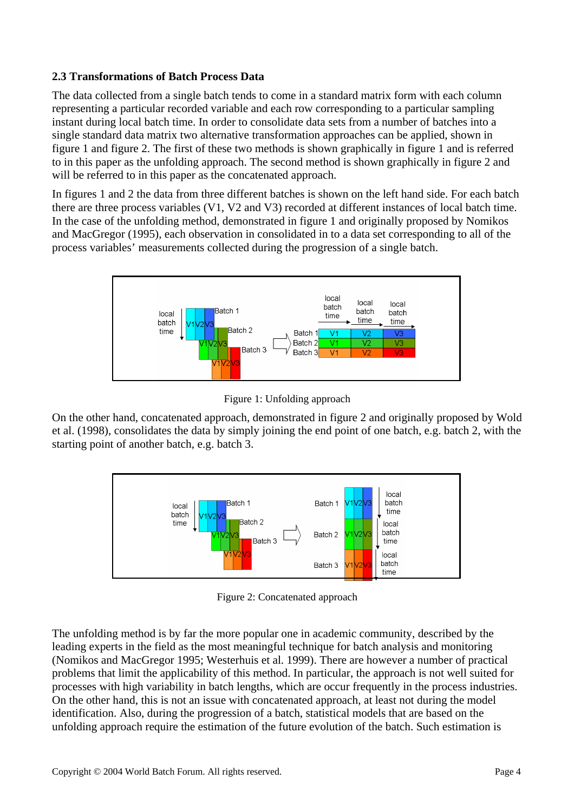#### **2.3 Transformations of Batch Process Data**

The data collected from a single batch tends to come in a standard matrix form with each column representing a particular recorded variable and each row corresponding to a particular sampling instant during local batch time. In order to consolidate data sets from a number of batches into a single standard data matrix two alternative transformation approaches can be applied, shown in figure 1 and figure 2. The first of these two methods is shown graphically in figure 1 and is referred to in this paper as the unfolding approach. The second method is shown graphically in figure 2 and will be referred to in this paper as the concatenated approach.

In figures 1 and 2 the data from three different batches is shown on the left hand side. For each batch there are three process variables (V1, V2 and V3) recorded at different instances of local batch time. In the case of the unfolding method, demonstrated in figure 1 and originally proposed by Nomikos and MacGregor (1995), each observation in consolidated in to a data set corresponding to all of the process variables' measurements collected during the progression of a single batch.



Figure 1: Unfolding approach

On the other hand, concatenated approach, demonstrated in figure 2 and originally proposed by Wold et al. (1998), consolidates the data by simply joining the end point of one batch, e.g. batch 2, with the starting point of another batch, e.g. batch 3.



Figure 2: Concatenated approach

The unfolding method is by far the more popular one in academic community, described by the leading experts in the field as the most meaningful technique for batch analysis and monitoring (Nomikos and MacGregor 1995; Westerhuis et al. 1999). There are however a number of practical problems that limit the applicability of this method. In particular, the approach is not well suited for processes with high variability in batch lengths, which are occur frequently in the process industries. On the other hand, this is not an issue with concatenated approach, at least not during the model identification. Also, during the progression of a batch, statistical models that are based on the unfolding approach require the estimation of the future evolution of the batch. Such estimation is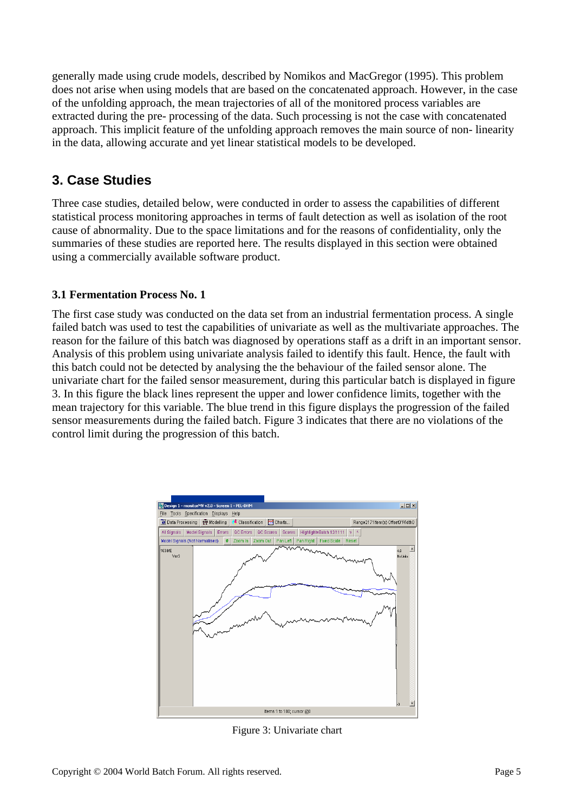generally made using crude models, described by Nomikos and MacGregor (1995). This problem does not arise when using models that are based on the concatenated approach. However, in the case of the unfolding approach, the mean trajectories of all of the monitored process variables are extracted during the pre- processing of the data. Such processing is not the case with concatenated approach. This implicit feature of the unfolding approach removes the main source of non- linearity in the data, allowing accurate and yet linear statistical models to be developed.

### **3. Case Studies**

Three case studies, detailed below, were conducted in order to assess the capabilities of different statistical process monitoring approaches in terms of fault detection as well as isolation of the root cause of abnormality. Due to the space limitations and for the reasons of confidentiality, only the summaries of these studies are reported here. The results displayed in this section were obtained using a commercially available software product.

### **3.1 Fermentation Process No. 1**

The first case study was conducted on the data set from an industrial fermentation process. A single failed batch was used to test the capabilities of univariate as well as the multivariate approaches. The reason for the failure of this batch was diagnosed by operations staff as a drift in an important sensor. Analysis of this problem using univariate analysis failed to identify this fault. Hence, the fault with this batch could not be detected by analysing the the behaviour of the failed sensor alone. The univariate chart for the failed sensor measurement, during this particular batch is displayed in figure 3. In this figure the black lines represent the upper and lower confidence limits, together with the mean trajectory for this variable. The blue trend in this figure displays the progression of the failed sensor measurements during the failed batch. Figure 3 indicates that there are no violations of the control limit during the progression of this batch.



Figure 3: Univariate chart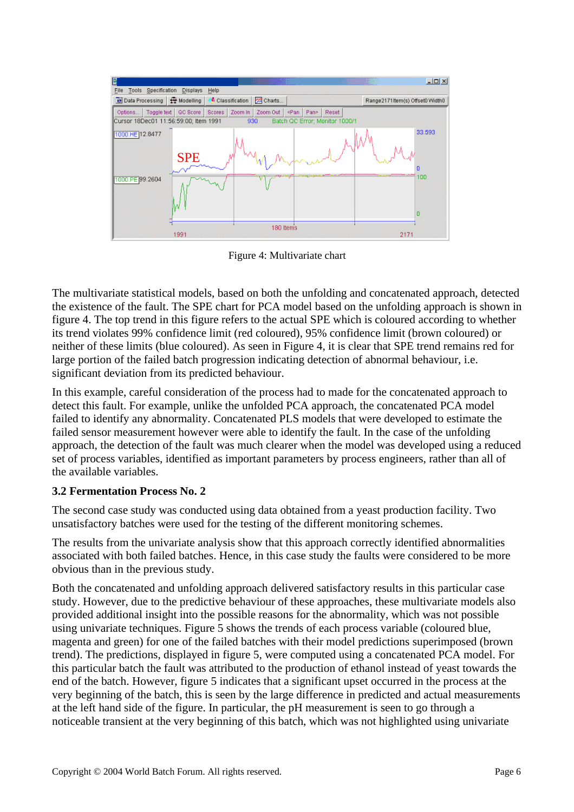| 圖                                                                              |                 |                   |           |                          | usan  |  | $-10 \times$                     |
|--------------------------------------------------------------------------------|-----------------|-------------------|-----------|--------------------------|-------|--|----------------------------------|
| Specification<br>Tools<br>File                                                 | <b>Displays</b> | Help              |           |                          |       |  |                                  |
| Data Processing                                                                | Modelling       | Classification    | Charts    |                          |       |  | Range2171 Item(s) Offset0 Width0 |
| Toggle text<br>Options                                                         | QC Score        | Zoom In<br>Scores | Zoom Out  | <pan<br>Pan&gt;</pan<br> | Reset |  |                                  |
| Cursor 18Dec01 11:56:59:00; Item 1991<br>Batch QC Error; Monitor 1000/1<br>930 |                 |                   |           |                          |       |  |                                  |
| 1000 HE 12.8477                                                                | <b>SPE</b>      |                   |           |                          |       |  | 33.593                           |
|                                                                                |                 |                   |           |                          |       |  | n                                |
| 1000.PE 99.2604                                                                |                 |                   |           |                          |       |  | 100<br>o                         |
|                                                                                |                 |                   |           |                          |       |  |                                  |
|                                                                                | 1991            |                   | 180 Items |                          |       |  | 2171                             |

Figure 4: Multivariate chart

The multivariate statistical models, based on both the unfolding and concatenated approach, detected the existence of the fault. The SPE chart for PCA model based on the unfolding approach is shown in figure 4. The top trend in this figure refers to the actual SPE which is coloured according to whether its trend violates 99% confidence limit (red coloured), 95% confidence limit (brown coloured) or neither of these limits (blue coloured). As seen in Figure 4, it is clear that SPE trend remains red for large portion of the failed batch progression indicating detection of abnormal behaviour, i.e. significant deviation from its predicted behaviour.

In this example, careful consideration of the process had to made for the concatenated approach to detect this fault. For example, unlike the unfolded PCA approach, the concatenated PCA model failed to identify any abnormality. Concatenated PLS models that were developed to estimate the failed sensor measurement however were able to identify the fault. In the case of the unfolding approach, the detection of the fault was much clearer when the model was developed using a reduced set of process variables, identified as important parameters by process engineers, rather than all of the available variables.

#### **3.2 Fermentation Process No. 2**

The second case study was conducted using data obtained from a yeast production facility. Two unsatisfactory batches were used for the testing of the different monitoring schemes.

The results from the univariate analysis show that this approach correctly identified abnormalities associated with both failed batches. Hence, in this case study the faults were considered to be more obvious than in the previous study.

Both the concatenated and unfolding approach delivered satisfactory results in this particular case study. However, due to the predictive behaviour of these approaches, these multivariate models also provided additional insight into the possible reasons for the abnormality, which was not possible using univariate techniques. Figure 5 shows the trends of each process variable (coloured blue, magenta and green) for one of the failed batches with their model predictions superimposed (brown trend). The predictions, displayed in figure 5, were computed using a concatenated PCA model. For this particular batch the fault was attributed to the production of ethanol instead of yeast towards the end of the batch. However, figure 5 indicates that a significant upset occurred in the process at the very beginning of the batch, this is seen by the large difference in predicted and actual measurements at the left hand side of the figure. In particular, the pH measurement is seen to go through a noticeable transient at the very beginning of this batch, which was not highlighted using univariate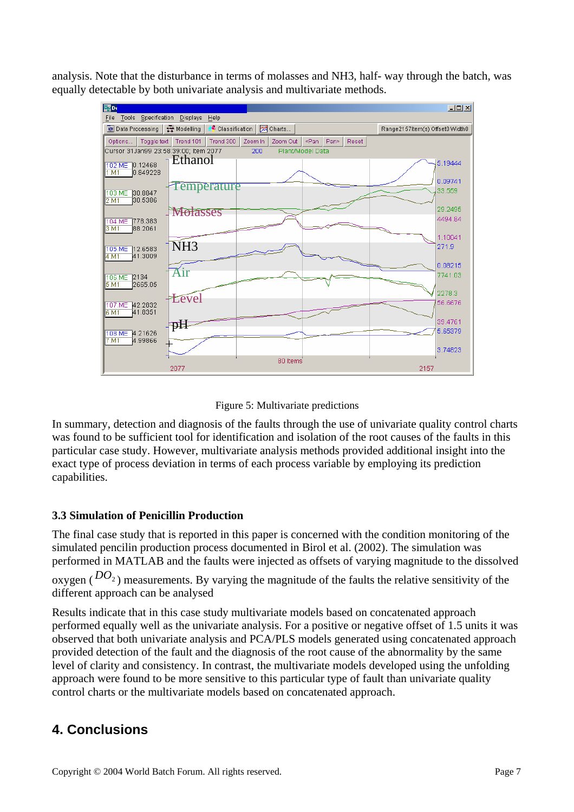analysis. Note that the disturbance in terms of molasses and NH3, half- way through the batch, was equally detectable by both univariate analysis and multivariate methods.



Figure 5: Multivariate predictions

In summary, detection and diagnosis of the faults through the use of univariate quality control charts was found to be sufficient tool for identification and isolation of the root causes of the faults in this particular case study. However, multivariate analysis methods provided additional insight into the exact type of process deviation in terms of each process variable by employing its prediction capabilities.

#### **3.3 Simulation of Penicillin Production**

The final case study that is reported in this paper is concerned with the condition monitoring of the simulated pencilin production process documented in Birol et al. (2002). The simulation was performed in MATLAB and the faults were injected as offsets of varying magnitude to the dissolved oxygen ( $DO<sub>2</sub>$ ) measurements. By varying the magnitude of the faults the relative sensitivity of the different approach can be analysed

Results indicate that in this case study multivariate models based on concatenated approach performed equally well as the univariate analysis. For a positive or negative offset of 1.5 units it was observed that both univariate analysis and PCA/PLS models generated using concatenated approach provided detection of the fault and the diagnosis of the root cause of the abnormality by the same level of clarity and consistency. In contrast, the multivariate models developed using the unfolding approach were found to be more sensitive to this particular type of fault than univariate quality control charts or the multivariate models based on concatenated approach.

# **4. Conclusions**